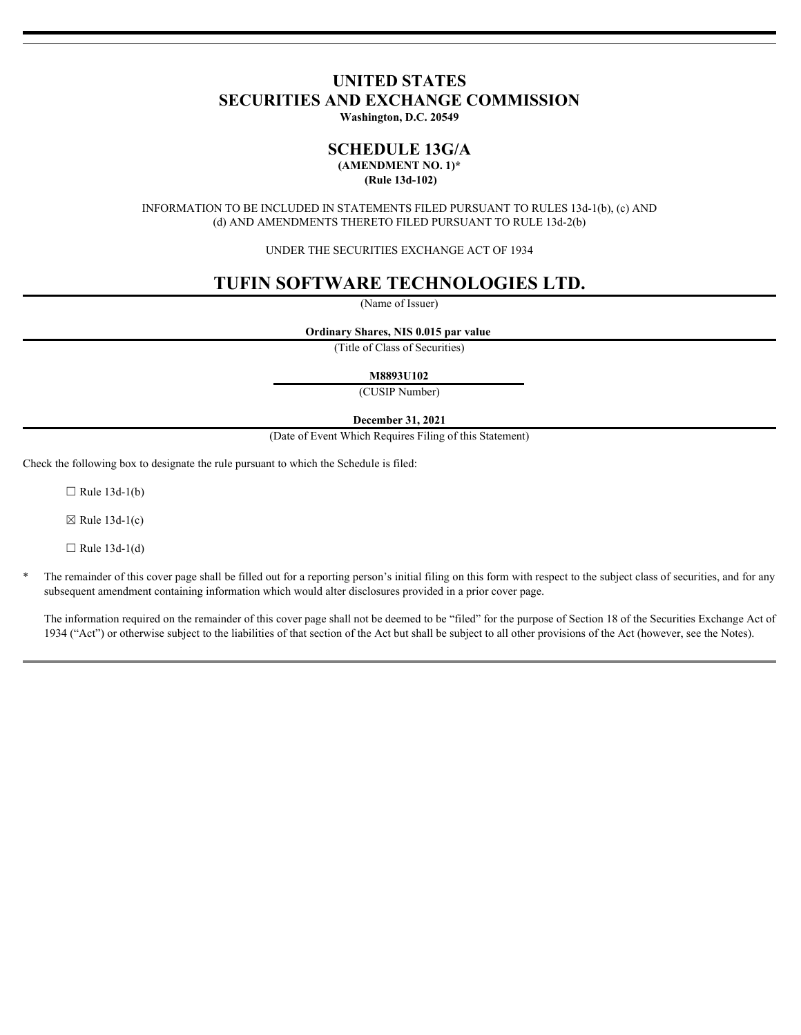# **UNITED STATES SECURITIES AND EXCHANGE COMMISSION**

**Washington, D.C. 20549**

## **SCHEDULE 13G/A (AMENDMENT NO. 1)\***

 **(Rule 13d-102)**

INFORMATION TO BE INCLUDED IN STATEMENTS FILED PURSUANT TO RULES 13d-1(b), (c) AND (d) AND AMENDMENTS THERETO FILED PURSUANT TO RULE 13d-2(b)

UNDER THE SECURITIES EXCHANGE ACT OF 1934

# **TUFIN SOFTWARE TECHNOLOGIES LTD.**

(Name of Issuer)

**Ordinary Shares, NIS 0.015 par value** 

(Title of Class of Securities)

**M8893U102**

(CUSIP Number)

## **December 31, 2021**

(Date of Event Which Requires Filing of this Statement)

Check the following box to designate the rule pursuant to which the Schedule is filed:

 $\Box$  Rule 13d-1(b)

 $\boxtimes$  Rule 13d-1(c)

 $\Box$  Rule 13d-1(d)

The remainder of this cover page shall be filled out for a reporting person's initial filing on this form with respect to the subject class of securities, and for any subsequent amendment containing information which would alter disclosures provided in a prior cover page.

The information required on the remainder of this cover page shall not be deemed to be "filed" for the purpose of Section 18 of the Securities Exchange Act of 1934 ("Act") or otherwise subject to the liabilities of that section of the Act but shall be subject to all other provisions of the Act (however, see the Notes).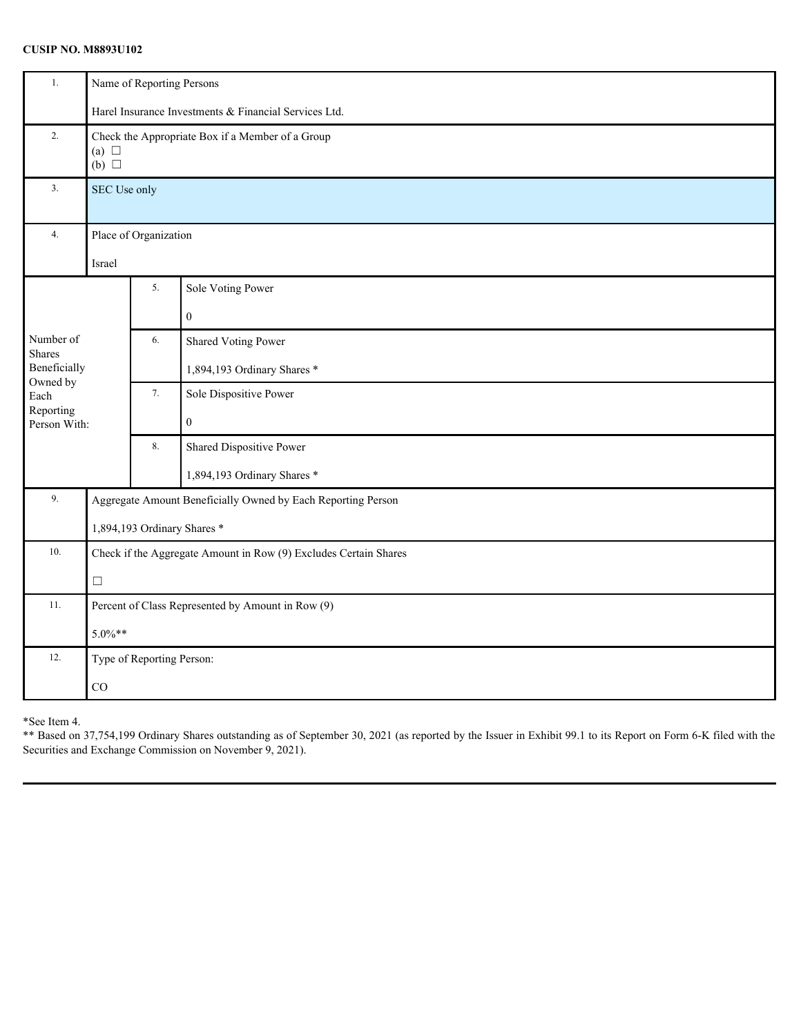## **CUSIP NO. M8893U102**

| 1.                         | Name of Reporting Persons                                                      |                                                                  |                             |  |
|----------------------------|--------------------------------------------------------------------------------|------------------------------------------------------------------|-----------------------------|--|
|                            | Harel Insurance Investments & Financial Services Ltd.                          |                                                                  |                             |  |
| 2.                         | Check the Appropriate Box if a Member of a Group<br>(a) $\Box$<br>$(b)$ $\Box$ |                                                                  |                             |  |
| 3.                         | SEC Use only                                                                   |                                                                  |                             |  |
| 4.                         | Place of Organization                                                          |                                                                  |                             |  |
|                            | Israel                                                                         |                                                                  |                             |  |
|                            |                                                                                | 5.                                                               | Sole Voting Power           |  |
|                            |                                                                                |                                                                  | $\boldsymbol{0}$            |  |
| Number of<br><b>Shares</b> |                                                                                | 6.                                                               | <b>Shared Voting Power</b>  |  |
| Beneficially<br>Owned by   |                                                                                |                                                                  | 1,894,193 Ordinary Shares * |  |
| Each                       |                                                                                | 7.                                                               | Sole Dispositive Power      |  |
| Reporting<br>Person With:  |                                                                                |                                                                  | $\boldsymbol{0}$            |  |
|                            |                                                                                | $8. \,$                                                          | Shared Dispositive Power    |  |
|                            |                                                                                |                                                                  | 1,894,193 Ordinary Shares * |  |
| 9.                         | Aggregate Amount Beneficially Owned by Each Reporting Person                   |                                                                  |                             |  |
|                            | 1,894,193 Ordinary Shares *                                                    |                                                                  |                             |  |
| 10.                        |                                                                                | Check if the Aggregate Amount in Row (9) Excludes Certain Shares |                             |  |
|                            | $\Box$                                                                         |                                                                  |                             |  |
| 11.                        | Percent of Class Represented by Amount in Row (9)                              |                                                                  |                             |  |
|                            | $5.0\%**$                                                                      |                                                                  |                             |  |
| 12.                        | Type of Reporting Person:                                                      |                                                                  |                             |  |
|                            | $_{\rm CO}$                                                                    |                                                                  |                             |  |

\*See Item 4.

\*\* Based on 37,754,199 Ordinary Shares outstanding as of September 30, 2021 (as reported by the Issuer in Exhibit 99.1 to its Report on Form 6-K filed with the Securities and Exchange Commission on November 9, 2021).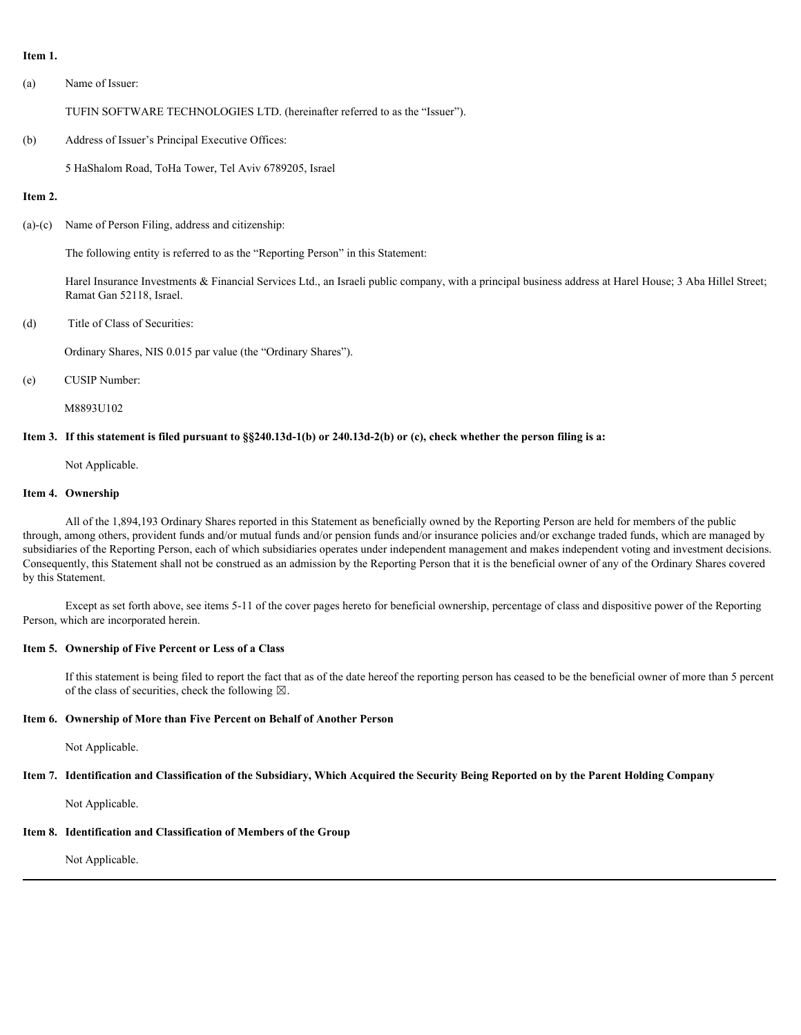### **Item 1.**

(a) Name of Issuer:

TUFIN SOFTWARE TECHNOLOGIES LTD. (hereinafter referred to as the "Issuer").

(b) Address of Issuer's Principal Executive Offices:

5 HaShalom Road, ToHa Tower, Tel Aviv 6789205, Israel

## **Item 2.**

(a)-(c) Name of Person Filing, address and citizenship:

The following entity is referred to as the "Reporting Person" in this Statement:

Harel Insurance Investments & Financial Services Ltd., an Israeli public company, with a principal business address at Harel House; 3 Aba Hillel Street; Ramat Gan 52118, Israel.

(d) Title of Class of Securities:

Ordinary Shares, NIS 0.015 par value (the "Ordinary Shares").

(e) CUSIP Number:

M8893U102

## **Item 3. If this statement is filed pursuant to §§240.13d-1(b) or 240.13d-2(b) or (c), check whether the person filing is a:**

Not Applicable.

#### **Item 4. Ownership**

All of the 1,894,193 Ordinary Shares reported in this Statement as beneficially owned by the Reporting Person are held for members of the public through, among others, provident funds and/or mutual funds and/or pension funds and/or insurance policies and/or exchange traded funds, which are managed by subsidiaries of the Reporting Person, each of which subsidiaries operates under independent management and makes independent voting and investment decisions. Consequently, this Statement shall not be construed as an admission by the Reporting Person that it is the beneficial owner of any of the Ordinary Shares covered by this Statement.

Except as set forth above, see items 5-11 of the cover pages hereto for beneficial ownership, percentage of class and dispositive power of the Reporting Person, which are incorporated herein.

## **Item 5. Ownership of Five Percent or Less of a Class**

If this statement is being filed to report the fact that as of the date hereof the reporting person has ceased to be the beneficial owner of more than 5 percent of the class of securities, check the following  $\boxtimes$ .

## **Item 6. Ownership of More than Five Percent on Behalf of Another Person**

Not Applicable.

## **Item 7. Identification and Classification of the Subsidiary, Which Acquired the Security Being Reported on by the Parent Holding Company**

Not Applicable.

## **Item 8. Identification and Classification of Members of the Group**

Not Applicable.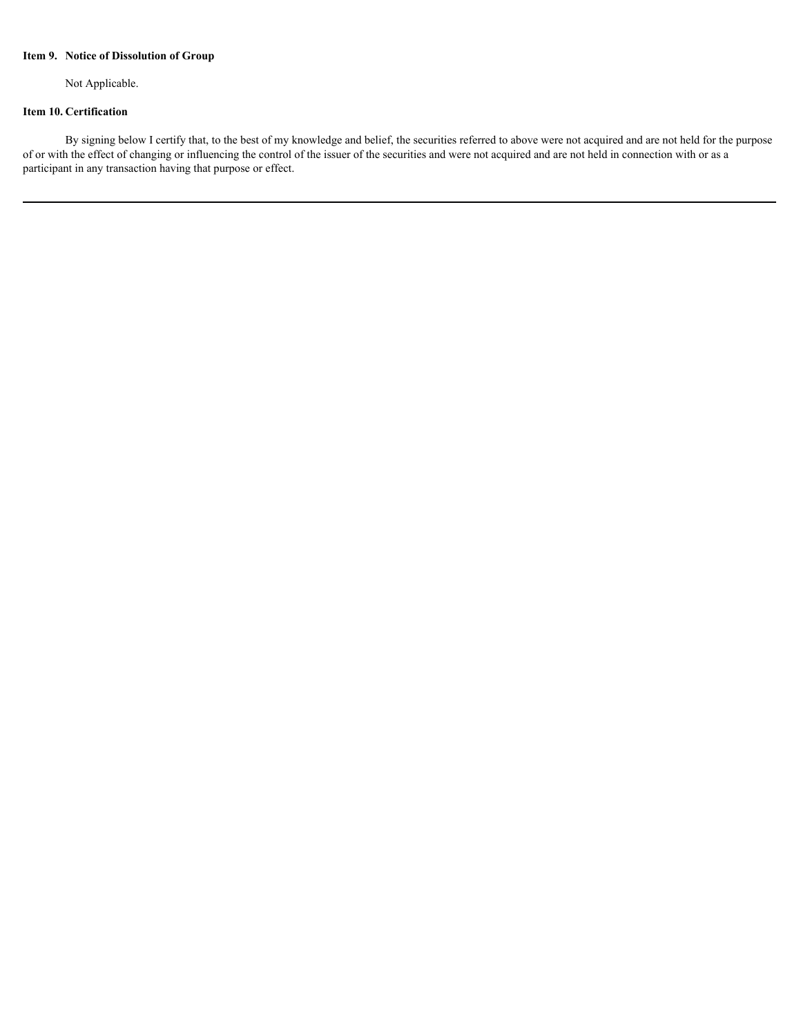## **Item 9. Notice of Dissolution of Group**

Not Applicable.

## **Item 10. Certification**

By signing below I certify that, to the best of my knowledge and belief, the securities referred to above were not acquired and are not held for the purpose of or with the effect of changing or influencing the control of the issuer of the securities and were not acquired and are not held in connection with or as a participant in any transaction having that purpose or effect.